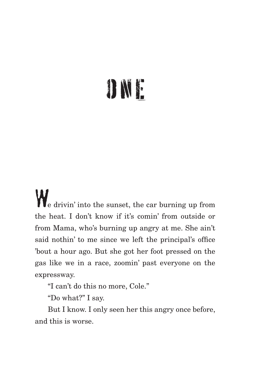### ONE.

We drivin' into the sunset, the car burning up from the heat. I don't know if it's comin' from outside or from Mama, who's burning up angry at me. She ain't said nothin' to me since we left the principal's office 'bout a hour ago. But she got her foot pressed on the gas like we in a race, zoomin' past everyone on the expressway.

"I can't do this no more, Cole."

"Do what?" I say.

But I know. I only seen her this angry once before, and this is worse.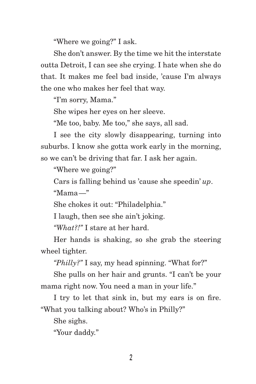"Where we going?" I ask.

She don't answer. By the time we hit the interstate outta Detroit, I can see she crying. I hate when she do that. It makes me feel bad inside, 'cause I'm always the one who makes her feel that way.

"I'm sorry, Mama."

She wipes her eyes on her sleeve.

"Me too, baby. Me too," she says, all sad.

I see the city slowly disappearing, turning into suburbs. I know she gotta work early in the morning, so we can't be driving that far. I ask her again.

"Where we going?"

Cars is falling behind us 'cause she speedin' *up*.  $"Mama"$ 

She chokes it out: "Philadelphia."

I laugh, then see she ain't joking.

*"What?!"* I stare at her hard.

Her hands is shaking, so she grab the steering wheel tighter.

*"Philly?"* I say, my head spinning. "What for?"

She pulls on her hair and grunts. "I can't be your mama right now. You need a man in your life."

I try to let that sink in, but my ears is on fire. "What you talking about? Who's in Philly?"

She sighs.

"Your daddy."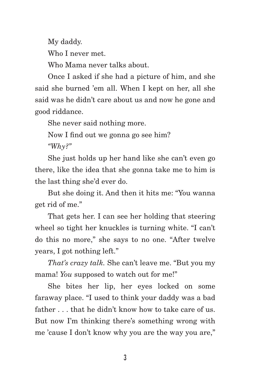My daddy.

Who I never met.

Who Mama never talks about.

Once I asked if she had a picture of him, and she said she burned 'em all. When I kept on her, all she said was he didn't care about us and now he gone and good riddance.

She never said nothing more.

Now I find out we gonna go see him?

*"Why?"*

She just holds up her hand like she can't even go there, like the idea that she gonna take me to him is the last thing she'd ever do.

But she doing it. And then it hits me: "You wanna get rid of me."

That gets her. I can see her holding that steering wheel so tight her knuckles is turning white. "I can't do this no more," she says to no one. "After twelve years, I got nothing left."

*That's crazy talk.* She can't leave me. "But you my mama! *You* supposed to watch out for me!"

She bites her lip, her eyes locked on some faraway place. "I used to think your daddy was a bad father . . . that he didn't know how to take care of us. But now I'm thinking there's something wrong with me 'cause I don't know why you are the way you are,"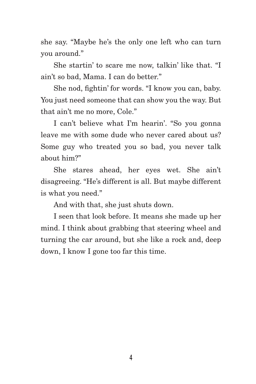she say. "Maybe he's the only one left who can turn you around."

She startin' to scare me now, talkin' like that. "I ain't so bad, Mama. I can do better."

She nod, fightin' for words. "I know you can, baby. You just need someone that can show you the way. But that ain't me no more, Cole."

I can't believe what I'm hearin'. "So you gonna leave me with some dude who never cared about us? Some guy who treated you so bad, you never talk about him?"

She stares ahead, her eyes wet. She ain't disagreeing. "He's different is all. But maybe different is what you need."

And with that, she just shuts down.

I seen that look before. It means she made up her mind. I think about grabbing that steering wheel and turning the car around, but she like a rock and, deep down, I know I gone too far this time.

4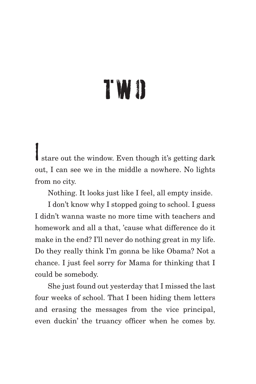# TWD

stare out the window. Even though it's getting dark out, I can see we in the middle a nowhere. No lights from no city.

Nothing. It looks just like I feel, all empty inside.

I don't know why I stopped going to school. I guess I didn't wanna waste no more time with teachers and homework and all a that, 'cause what difference do it make in the end? I'll never do nothing great in my life. Do they really think I'm gonna be like Obama? Not a chance. I just feel sorry for Mama for thinking that I could be somebody.

She just found out yesterday that I missed the last four weeks of school. That I been hiding them letters and erasing the messages from the vice principal, even duckin' the truancy officer when he comes by.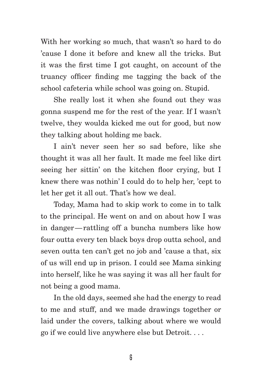With her working so much, that wasn't so hard to do 'cause I done it before and knew all the tricks. But it was the first time I got caught, on account of the truancy officer finding me tagging the back of the school cafeteria while school was going on. Stupid.

She really lost it when she found out they was gonna suspend me for the rest of the year. If I wasn't twelve, they woulda kicked me out for good, but now they talking about holding me back.

I ain't never seen her so sad before, like she thought it was all her fault. It made me feel like dirt seeing her sittin' on the kitchen floor crying, but I knew there was nothin' I could do to help her, 'cept to let her get it all out. That's how we deal.

Today, Mama had to skip work to come in to talk to the principal. He went on and on about how I was in danger—rattling off a buncha numbers like how four outta every ten black boys drop outta school, and seven outta ten can't get no job and 'cause a that, six of us will end up in prison. I could see Mama sinking into herself, like he was saying it was all her fault for not being a good mama.

In the old days, seemed she had the energy to read to me and stuff, and we made drawings together or laid under the covers, talking about where we would go if we could live anywhere else but Detroit. . . .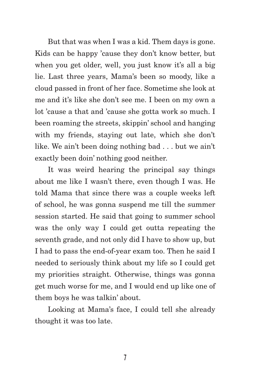But that was when I was a kid. Them days is gone. Kids can be happy 'cause they don't know better, but when you get older, well, you just know it's all a big lie. Last three years, Mama's been so moody, like a cloud passed in front of her face. Sometime she look at me and it's like she don't see me. I been on my own a lot 'cause a that and 'cause she gotta work so much. I been roaming the streets, skippin' school and hanging with my friends, staying out late, which she don't like. We ain't been doing nothing bad . . . but we ain't exactly been doin' nothing good neither.

It was weird hearing the principal say things about me like I wasn't there, even though I was. He told Mama that since there was a couple weeks left of school, he was gonna suspend me till the summer session started. He said that going to summer school was the only way I could get outta repeating the seventh grade, and not only did I have to show up, but I had to pass the end-of-year exam too. Then he said I needed to seriously think about my life so I could get my priorities straight. Otherwise, things was gonna get much worse for me, and I would end up like one of them boys he was talkin' about.

Looking at Mama's face, I could tell she already thought it was too late.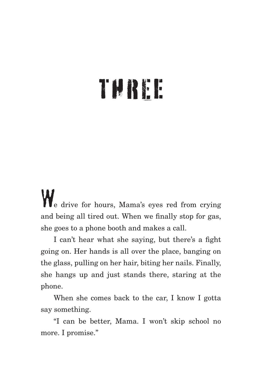### THREE

We drive for hours, Mama's eyes red from crying and being all tired out. When we finally stop for gas, she goes to a phone booth and makes a call.

I can't hear what she saying, but there's a fight going on. Her hands is all over the place, banging on the glass, pulling on her hair, biting her nails. Finally, she hangs up and just stands there, staring at the phone.

When she comes back to the car, I know I gotta say something.

"I can be better, Mama. I won't skip school no more. I promise."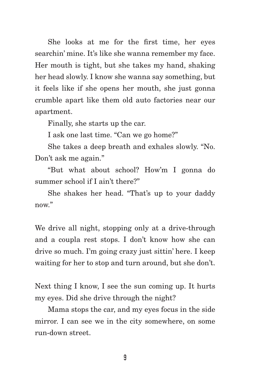She looks at me for the first time, her eyes searchin' mine. It's like she wanna remember my face. Her mouth is tight, but she takes my hand, shaking her head slowly. I know she wanna say something, but it feels like if she opens her mouth, she just gonna crumble apart like them old auto factories near our apartment.

Finally, she starts up the car.

I ask one last time. "Can we go home?"

She takes a deep breath and exhales slowly. "No. Don't ask me again."

"But what about school? How'm I gonna do summer school if I ain't there?"

She shakes her head. "That's up to your daddy now."

We drive all night, stopping only at a drive-through and a coupla rest stops. I don't know how she can drive so much. I'm going crazy just sittin' here. I keep waiting for her to stop and turn around, but she don't.

Next thing I know, I see the sun coming up. It hurts my eyes. Did she drive through the night?

Mama stops the car, and my eyes focus in the side mirror. I can see we in the city somewhere, on some run-down street.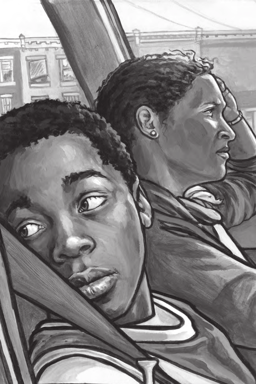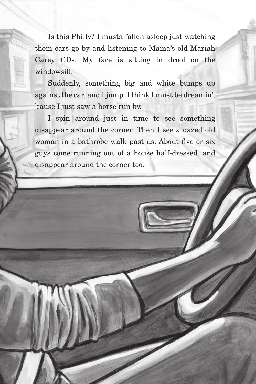Is this Philly? I musta fallen asleep just watching them cars go by and listening to Mama's old Mariah Carey CDs. My face is sitting in drool on the windowsill.

Suddenly, something big and white bumps up against the car, and I jump. I think I must be dreamin', 'cause I just saw a horse run by.

I spin around just in time to see something disappear around the corner. Then I see a dazed old woman in a bathrobe walk past us. About five or six guys come running out of a house half-dressed, and disappear around the corner too.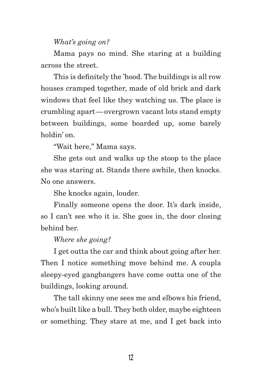#### *What's going on?*

Mama pays no mind. She staring at a building across the street.

This is definitely the 'hood. The buildings is all row houses cramped together, made of old brick and dark windows that feel like they watching us. The place is crumbling apart—overgrown vacant lots stand empty between buildings, some boarded up, some barely holdin' on.

"Wait here," Mama says.

She gets out and walks up the stoop to the place she was staring at. Stands there awhile, then knocks. No one answers.

She knocks again, louder.

Finally someone opens the door. It's dark inside, so I can't see who it is. She goes in, the door closing behind her.

#### *Where she going?*

I get outta the car and think about going after her. Then I notice something move behind me. A coupla sleepy-eyed gangbangers have come outta one of the buildings, looking around.

The tall skinny one sees me and elbows his friend, who's built like a bull. They both older, maybe eighteen or something. They stare at me, and I get back into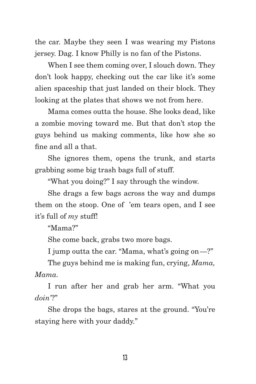the car. Maybe they seen I was wearing my Pistons jersey. Dag. I know Philly is no fan of the Pistons.

When I see them coming over, I slouch down. They don't look happy, checking out the car like it's some alien spaceship that just landed on their block. They looking at the plates that shows we not from here.

Mama comes outta the house. She looks dead, like a zombie moving toward me. But that don't stop the guys behind us making comments, like how she so fine and all a that.

She ignores them, opens the trunk, and starts grabbing some big trash bags full of stuff.

"What you doing?" I say through the window.

She drags a few bags across the way and dumps them on the stoop. One of 'em tears open, and I see it's full of *my* stuff!

"Mama?"

She come back, grabs two more bags.

I jump outta the car. "Mama, what's going on—?"

The guys behind me is making fun, crying, *Mama, Mama.*

I run after her and grab her arm. "What you *doin'*?"

She drops the bags, stares at the ground. "You're staying here with your daddy."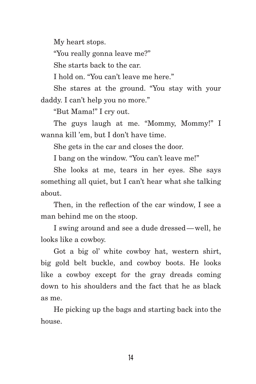My heart stops.

"You really gonna leave me?"

She starts back to the car.

I hold on. "You can't leave me here."

She stares at the ground. "You stay with your daddy. I can't help you no more."

"But Mama!" I cry out.

The guys laugh at me. "Mommy, Mommy!" I wanna kill 'em, but I don't have time.

She gets in the car and closes the door.

I bang on the window. "You can't leave me!"

She looks at me, tears in her eyes. She says something all quiet, but I can't hear what she talking about.

Then, in the reflection of the car window, I see a man behind me on the stoop.

I swing around and see a dude dressed—well, he looks like a cowboy.

Got a big ol' white cowboy hat, western shirt, big gold belt buckle, and cowboy boots. He looks like a cowboy except for the gray dreads coming down to his shoulders and the fact that he as black as me.

He picking up the bags and starting back into the house.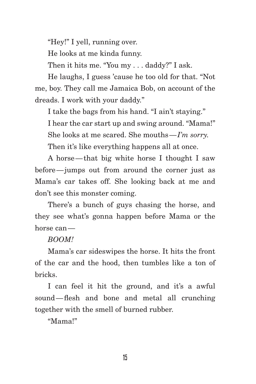"Hey!" I yell, running over.

He looks at me kinda funny.

Then it hits me. "You my . . . daddy?" I ask.

He laughs, I guess 'cause he too old for that. "Not me, boy. They call me Jamaica Bob, on account of the dreads. I work with your daddy."

I take the bags from his hand. "I ain't staying." I hear the car start up and swing around. "Mama!" She looks at me scared. She mouths—*I'm sorry.* Then it's like everything happens all at once.

A horse—that big white horse I thought I saw before—jumps out from around the corner just as Mama's car takes off. She looking back at me and don't see this monster coming.

There's a bunch of guys chasing the horse, and they see what's gonna happen before Mama or the horse can—

#### *BOOM!*

Mama's car sideswipes the horse. It hits the front of the car and the hood, then tumbles like a ton of bricks.

I can feel it hit the ground, and it's a awful sound—flesh and bone and metal all crunching together with the smell of burned rubber.

"Mama!"

15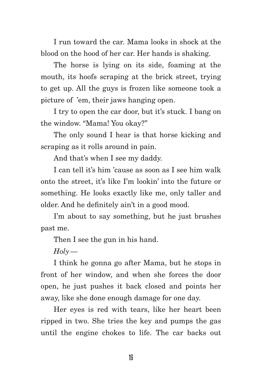I run toward the car. Mama looks in shock at the blood on the hood of her car. Her hands is shaking.

The horse is lying on its side, foaming at the mouth, its hoofs scraping at the brick street, trying to get up. All the guys is frozen like someone took a picture of 'em, their jaws hanging open.

I try to open the car door, but it's stuck. I bang on the window. "Mama! You okay?"

The only sound I hear is that horse kicking and scraping as it rolls around in pain.

And that's when I see my daddy.

I can tell it's him 'cause as soon as I see him walk onto the street, it's like I'm lookin' into the future or something. He looks exactly like me, only taller and older. And he definitely ain't in a good mood.

I'm about to say something, but he just brushes past me.

Then I see the gun in his hand.

*Holy*—

I think he gonna go after Mama, but he stops in front of her window, and when she forces the door open, he just pushes it back closed and points her away, like she done enough damage for one day.

Her eyes is red with tears, like her heart been ripped in two. She tries the key and pumps the gas until the engine chokes to life. The car backs out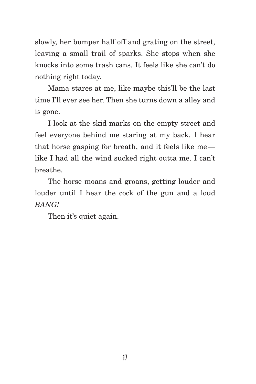slowly, her bumper half off and grating on the street, leaving a small trail of sparks. She stops when she knocks into some trash cans. It feels like she can't do nothing right today.

Mama stares at me, like maybe this'll be the last time I'll ever see her. Then she turns down a alley and is gone.

I look at the skid marks on the empty street and feel everyone behind me staring at my back. I hear that horse gasping for breath, and it feels like me like I had all the wind sucked right outta me. I can't breathe.

The horse moans and groans, getting louder and louder until I hear the cock of the gun and a loud *BANG!*

Then it's quiet again.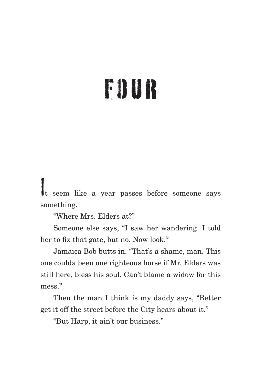## FOUR

It seem like a year passes before someone says something.

"Where Mrs. Elders at?"

Someone else says, "I saw her wandering. I told her to fix that gate, but no. Now look."

Jamaica Bob butts in. "That's a shame, man. This one coulda been one righteous horse if Mr. Elders was still here, bless his soul. Can't blame a widow for this mess."

Then the man I think is my daddy says, "Better get it off the street before the City hears about it."

"But Harp, it ain't our business."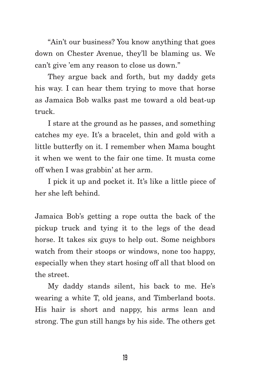"Ain't our business? You know anything that goes down on Chester Avenue, they'll be blaming us. We can't give 'em any reason to close us down."

They argue back and forth, but my daddy gets his way. I can hear them trying to move that horse as Jamaica Bob walks past me toward a old beat-up truck.

I stare at the ground as he passes, and something catches my eye. It's a bracelet, thin and gold with a little butterfly on it. I remember when Mama bought it when we went to the fair one time. It musta come off when I was grabbin' at her arm.

I pick it up and pocket it. It's like a little piece of her she left behind.

Jamaica Bob's getting a rope outta the back of the pickup truck and tying it to the legs of the dead horse. It takes six guys to help out. Some neighbors watch from their stoops or windows, none too happy, especially when they start hosing off all that blood on the street.

My daddy stands silent, his back to me. He's wearing a white T, old jeans, and Timberland boots. His hair is short and nappy, his arms lean and strong. The gun still hangs by his side. The others get

19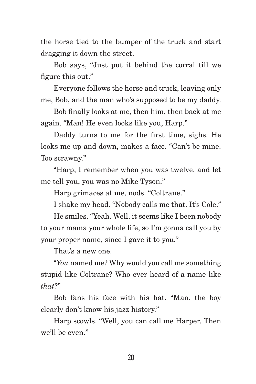the horse tied to the bumper of the truck and start dragging it down the street.

Bob says, "Just put it behind the corral till we figure this out."

Everyone follows the horse and truck, leaving only me, Bob, and the man who's supposed to be my daddy.

Bob finally looks at me, then him, then back at me again. "Man! He even looks like you, Harp."

Daddy turns to me for the first time, sighs. He looks me up and down, makes a face. "Can't be mine. Too scrawny."

"Harp, I remember when you was twelve, and let me tell you, you was no Mike Tyson."

Harp grimaces at me, nods. "Coltrane."

I shake my head. "Nobody calls me that. It's Cole."

He smiles. "Yeah. Well, it seems like I been nobody to your mama your whole life, so I'm gonna call you by your proper name, since I gave it to you."

That's a new one.

"*You* named me? Why would you call me something stupid like Coltrane? Who ever heard of a name like *that*?"

Bob fans his face with his hat. "Man, the boy clearly don't know his jazz history."

Harp scowls. "Well, you can call me Harper. Then we'll be even."